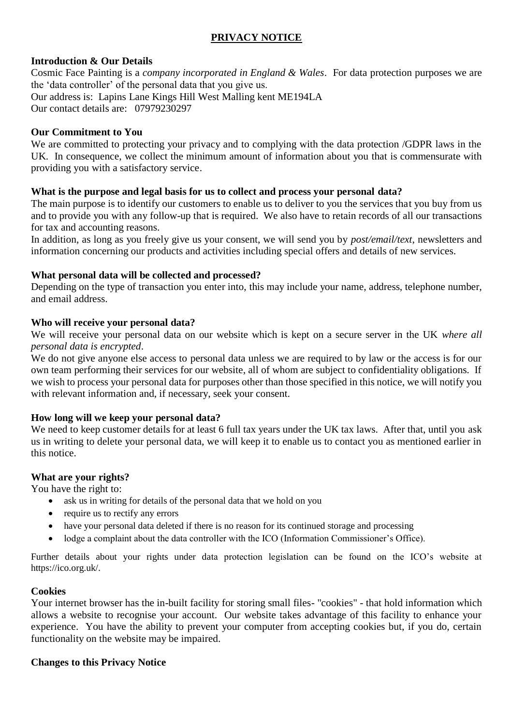# **PRIVACY NOTICE**

# **Introduction & Our Details**

Cosmic Face Painting is a *company incorporated in England & Wales*. For data protection purposes we are the 'data controller' of the personal data that you give us. Our address is: Lapins Lane Kings Hill West Malling kent ME194LA Our contact details are: 07979230297

## **Our Commitment to You**

We are committed to protecting your privacy and to complying with the data protection /GDPR laws in the UK. In consequence, we collect the minimum amount of information about you that is commensurate with providing you with a satisfactory service.

## **What is the purpose and legal basis for us to collect and process your personal data?**

The main purpose is to identify our customers to enable us to deliver to you the services that you buy from us and to provide you with any follow-up that is required. We also have to retain records of all our transactions for tax and accounting reasons.

In addition, as long as you freely give us your consent, we will send you by *post/email/text*, newsletters and information concerning our products and activities including special offers and details of new services.

## **What personal data will be collected and processed?**

Depending on the type of transaction you enter into, this may include your name, address, telephone number, and email address.

# **Who will receive your personal data?**

We will receive your personal data on our website which is kept on a secure server in the UK *where all personal data is encrypted*.

We do not give anyone else access to personal data unless we are required to by law or the access is for our own team performing their services for our website, all of whom are subject to confidentiality obligations. If we wish to process your personal data for purposes other than those specified in this notice, we will notify you with relevant information and, if necessary, seek your consent.

#### **How long will we keep your personal data?**

We need to keep customer details for at least 6 full tax years under the UK tax laws. After that, until you ask us in writing to delete your personal data, we will keep it to enable us to contact you as mentioned earlier in this notice.

#### **What are your rights?**

You have the right to:

- ask us in writing for details of the personal data that we hold on you
- require us to rectify any errors
- have your personal data deleted if there is no reason for its continued storage and processing
- lodge a complaint about the data controller with the ICO (Information Commissioner's Office).

Further details about your rights under data protection legislation can be found on the ICO's website at https://ico.org.uk/.

#### **Cookies**

Your internet browser has the in-built facility for storing small files- "cookies" - that hold information which allows a website to recognise your account. Our website takes advantage of this facility to enhance your experience. You have the ability to prevent your computer from accepting cookies but, if you do, certain functionality on the website may be impaired.

#### **Changes to this Privacy Notice**